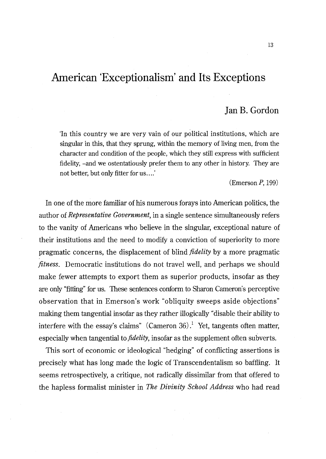# **American 'Exceptionalisrn' and Its Exceptions**

# ]an **B. Gordon**

'In this country we are very vain of our political institutions, which are singular in this, that they sprung, within the memory of living men, from the character and condition of the people, which they still express with sufficient fidelity, -and we ostentatiously prefer them to any other in history. They are not better, but only fitter for us .... '

 $(Emerson P, 199)$ 

In one of the more familiar of his numerous forays into American politics, the author of *Representative Government,* in a single sentence simultaneously refers to the vanity of Americans who believe in the singular, exceptional nature of their institutions and the need to modify a conviction of superiority to more pragmatic concerns, the displacement of blind *fidelity* by a more pragmatic *fitness.* Democratic institutions do not travel well, and perhaps we should make fewer attempts to export them as superior products, insofar as they are only "fitting" for us. These sentences conform to Sharon Cameron's perceptive observation that in Emerson's work "obliquity sweeps aside objections" making them tangential insofar as they rather illogically "disable their ability to interfere with the essay's claims" (Cameron  $36$ ).<sup>1</sup> Yet, tangents often matter, especially when tangential to *fidelity,* insofar as the supplement often subverts.

This sort of economic or ideological "hedging" of conflicting assertions is precisely what has long made the logic of Transcendentalism so baffling. It seems retrospectively, a critique, not radically dissimilar from that offered to the hapless formalist minister in *The Divinity School Address* who had read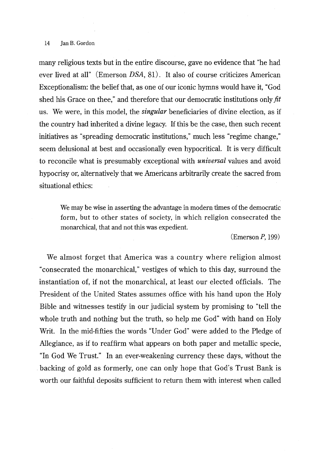#### 14 Ian B. Gordon

many religious texts but in the entire discourse, gave no evidence that "he had ever lived at all" (Emerson DSA, 81). It also of course criticizes American Exceptionalism: the belief that, as one of our iconic hymns would have it, "God shed his Grace on thee," and therefore that our democratic institutions only *fit*  us. We were, in this model, the *singular* beneficiaries of divine election, as if the country had inherited a divine legacy. If this be the case, then such recent initiatives as "spreading democratic institutions," much less "regime change," seem delusional at best and occasionally even hypocritical. It is very difficult to reconcile what is presumably exceptional with *universal* values and avoid hypocrisy or, alternatively that we Americans arbitrarily create the sacred from situational ethics:

We may be wise in asserting the advantage in modern times of the democratic form, but to other states of society, in which religion consecrated the monarchical, that and not this was expedient.

 $(Emerson P, 199)$ 

We almost forget that America was a country where religion almost "consecrated the monarchical," vestiges of which to this day, surround the instantiation of, if not the monarchical, at least our elected officials. The President of the United States assumes office with his hand upon the Holy Bible and witnesses testify in our judicial system by promising to "tell the whole truth and nothing but the truth, so help me God" with hand on Holy Writ. In the mid-fifties the words "Under God" were added to the Pledge of Allegiance, as if to reaffirm what appears on both paper and metallic specie, "In God We Trust." In an ever-weakening currency these days, without the backing of gold as formerly, one can only hope that God's Trust Bank is worth our faithful deposits sufficient to return them with interest when called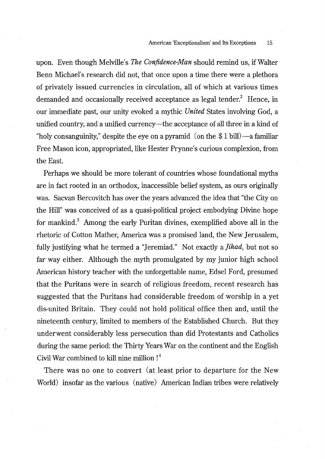upon. Even though Melville's *The Confidence-Man* should remind us, ifWalter Benn Michael's research did not, that once upon a time there were a plethora of privately issued currencies in circulation, all of which at various times demanded and occasionally received acceptance as legal tender.<sup>2</sup> Hence, in our immediate past, our unity evoked a mythic *United* States involving God, a unified country, and a unified currency-the acceptance of all three in a kind of "holy consanguinity," despite the eye on a pyramid (on the  $$1$  bill) $-$ a familiar Free Mason icon, appropriated, like Hester Prynne's curious complexion, from the East.

Perhaps we should be more tolerant of countries whose foundational myths are in fact rooted in an orthodox, inaccessible belief system, as ours originally was. Sacvan Bercovitch has over the years advanced the idea that "the City on the Hill" was conceived of as a quasi-political project embodying Divine hope for mankind.<sup>3</sup> Among the early Puritan divines, exemplified above all in the rhetoric of Cotton Mather, America was a promised land, the New Jerusalem, fully justifying what he termed a "Jeremiad." Not exactly *a]ihad,* but not so far way either. Although the myth promulgated by my junior high school American history teacher with the unforgettable name, Edsel Ford, presumed that the Puritans were in search of religious freedom, recent research has suggested that the Puritans had considerable freedom of worship in a yet dis-united Britain. They could not hold political office then and, until the nineteenth century, limited to members of the Established Church. But they underwent considerably less persecution than did Protestants and Catholics during the same period: the Thirty Years War on the continent and the English Civil War combined to kill nine million ! 4

There was no one to convert (at least prior to departure for the New World) insofar as the various (native) American Indian tribes were relatively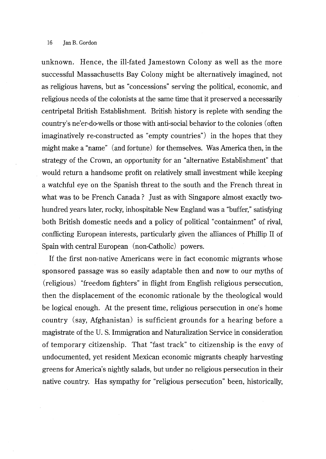unknown. Hence, the ill-fated Jamestown Colony as well as the more successful Massachusetts Bay Colony might be alternatively imagined, not as religious havens, but as "concessions" serving the political, economic, and religious needs of the colonists at the same time that it preserved a necessarily centripetal British Establishment. British history is replete with sending the country's ne' er-do-wells or those with anti-social behavior to the colonies (often imaginatively re-constructed as "empty countries") in the hopes that they might make a "name" (and fortune) for themselves. Was America then, in the strategy of the Crown, an opportunity for an "alternative Establishment" that would return a handsome profit on relatively small investment while keeping a watchful eye on the Spanish threat to the south and the French threat in what was to be French Canada? Just as with Singapore almost exactly twohundred years later, rocky, inhospitable New England was a "buffer," satisfying both British domestic needs and a policy of political "containment" of rival, conflicting European interests, particularly given the alliances of Phillip II of Spain with central European (non-Catholic) powers.

If the first non-native Americans were in fact economic migrants whose sponsored passage was so easily adaptable then and now to our myths of (religious) "freedom fighters" in flight from English religious persecution, then the displacement of the economic rationale by the theological would be logical enough. At the present time, religious persecution in one's home country (say, Mghanistan) is sufficient grounds for a hearing before a magistrate of the U. S. Immigration and Naturalization Service in consideration of temporary citizenship. That "fast track" to citizenship is the envy of undocumented, yet resident Mexican economic migrants cheaply harvesting greens for America's nightly salads, but under no religious persecution in their native country. Has sympathy for "religious persecution" been, historically,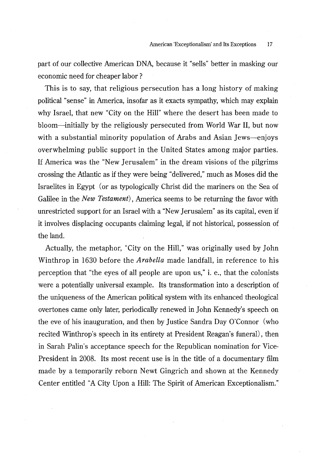part of our collective American DNA, because it "sells" better in masking our economic need for cheaper labor ?

This is to say, that religious persecution has a long history of making political "sense" in America, insofar as it exacts sympathy, which may explain why Israel, that new "City on the Hill" where the desert has been made to bloom-initially by the religiously persecuted from World War Il, but now with a substantial minority population of Arabs and Asian Jews-enjoys overwhelming public support in the United States among major parties. If America was the "New Jerusalem" in the dream visions of the pilgrims crossing the Atlantic as if they were being "delivered," much as Moses did the Israelites in Egypt (or as typologically Christ did the mariners on the Sea of Galilee in the *New Testament),* America seems to be returning the favor with unrestricted support for an Israel with a "New Jerusalem" as its capital, even if it involves displacing occupants claiming legal, if not historical, possession of the land.

Actually, the metaphor, "City on the Hill," was originally used by John Winthrop in 1630 before the *Arabella* made landfall, in reference to his perception that "the eyes of all people are upon us," i. e., that the colonists were a potentially universal example. Its transformation into a description of the uniqueness of the American political system with its enhanced theological overtones came only later, periodically renewed in John Kennedy's speech on the eve of his inauguration, and then by Justice Sandra Day O'Connor (who recited Winthrop's speech in its entirety at President Reagan's funeral), then in Sarah Palin's acceptance speech for the Republican nomination for Vice-President in 2008. Its most recent use is in the title of a documentary film made by a temporarily reborn Newt Gingrich and shown at the Kennedy Center entitled "A City Upon a Hill: The Spirit of American Exceptionalism."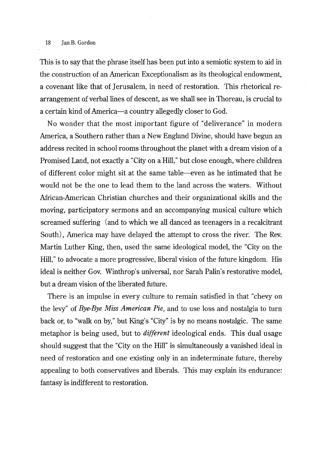#### 18 **Jan B. Gordon**

This is to say that the phrase itself has been put into a semiotic system to aid in the construction of an American Exceptionalism as its theological endowment, a covenant like that of Jerusalem, in need of restoration. This rhetorical rearrangement of verbal lines of descent, as we shall see in Thoreau, is crucial to a certain kind of America-a country allegedly closer to God.

No wonder that the most important figure of "deliverance" in modern America, a Southern rather than a New England Divine, should have begun an address recited in school rooms throughout the planet with a dream vision of a Promised Land, not exactly a "City on a Hill," but close enough, where children of different color might sit at the same table-even as he intimated that he would not be the one to lead them to the land across the waters. Without African-American Christian churches and their organizational skills and the moving, participatory sermons and an accompanying musical culture which screamed suffering (and to which we all danced as teenagers in a recalcitrant South) , America may have delayed the attempt to cross the river. The Rev. Martin Luther King, then, used the same ideological model, the "City on the Hill," to advocate a more progressive, liberal vision of the future kingdom. His ideal is neither Gov. Winthrop's universal, nor Sarah Palin's restorative model, but a dream vision of the liberated future.

There is an impulse in every culture to remain satisfied in that "chevy on the levy" of *Bye-Bye Miss American Pie,* and to use loss and nostalgia to turn back or, to "walk on by," but King's "City" is by no means nostalgic. The same metaphor is being used, but to *different* ideological ends. This dual usage should suggest that the "City on the Hill" is simultaneously a vanished ideal in need of restoration and one existing only in an indeterminate future, thereby appealing to both conservatives and liberals. This may explain its endurance: fantasy is indifferent to restoration.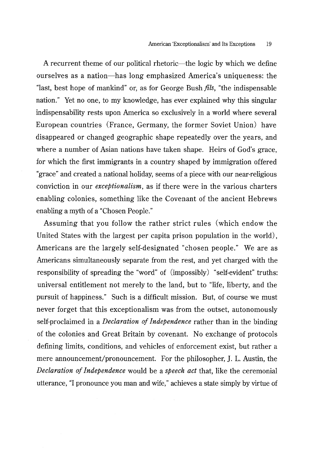A recurrent theme of our political rhetoric—the logic by which we define ourselves as a nation-has long emphasized America's uniqueness: the "last, best hope of mankind" or, as for George Bush *fils,* "the indispensable nation." Yet no one, to my knowledge, has ever explained why this singular indispensability rests upon America so exclusively in a world where several European countries (France, Germany, the former Soviet Union) have disappeared or changed geographic shape repeatedly over the years, and where a number of Asian nations have taken shape. Heirs of God's grace, for which the first immigrants in a country shaped by immigration offered "grace" and created a national holiday, seems of a piece with our near-religious conviction in our *exceptionalism,* as if there were in the various charters enabling colonies, something like the Covenant of the ancient Hebrews enabling a myth of a "Chosen People."

Assuming that you follow the rather strict rules (which endow the United States with the largest per capita prison population in the world), Americans are the largely self-designated "chosen people." We are as Americans simultaneously separate from the rest, and yet charged with the responsibility of spreading the "word" of (impossibly) "self-evident" truths: universal entitlement not merely to the land, but to "life, liberty, and the pursuit of happiness." Such is a difficult mission. But, of course we must never forget that this exceptionalism was from the outset, autonomously self-proclaimed in a *Declaration of Independence* rather than in the binding of the colonies and Great Britain by covenant. No exchange of protocols defining limits, conditions, and vehicles of enforcement exist, but rather a mere announcement/pronouncement. For the philosopher, J. L. Austin, the *Declaration of Independence* would be a *speech act* that, like the ceremonial utterance, "I pronounce you man and wife," achieves a state simply by virtue of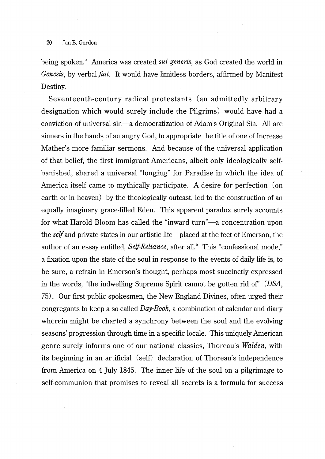being spoken.<sup>5</sup> America was created *sui generis*, as God created the world in *Genesis,* by verbal *fiat.* It would have limitless borders, affirmed by Manifest Destiny.

Seventeenth-century radical protestants (an admittedly arbitrary designation which would surely include the Pilgrims) would have had a conviction of universal sin-a democratization of Adam's Original Sin. All are sinners in the hands of an angry God, to appropriate the title of one of Increase Mather's more familiar sermons. And because of the universal application of that belief, the first immigrant Americans, albeit only ideologically selfbanished, shared a universal "longing" for Paradise in which the idea of America itself came to mythically participate. A desire for perfection (on earth or in heaven) by the theologically outcast, led to the construction of an equally imaginary grace-filled Eden. This apparent paradox surely accounts for what Harold Bloom has called the "inward turn"—a concentration upon the *self* and private states in our artistic life-placed at the feet of Emerson, the author of an essay entitled, *Self-Reliance*, after all.<sup>6</sup> This "confessional mode," a fixation upon the state of the soul in response to the events of daily life is, to be sure, a refrain in Emerson's thought, perhaps most succinctly expressed in the words, "the indwelling Supreme Spirit cannot be gotten rid of' (DSA, 75). Our first public spokesmen, the New England Divines, often urged their congregants to keep a so-called *Day-Book,* a combination of calendar and diary wherein might be charted a synchrony between the soul and the evolving seasons' progression through time in a specific locale. This uniquely American genre surely informs one of our national classics, Thoreau's *Walden*, with its beginning in an artificial (self) declaration of Thoreau's independence from America on 4 July 1845. The inner life of the soul on a pilgrimage to self-communion that promises to reveal all secrets is a formula for success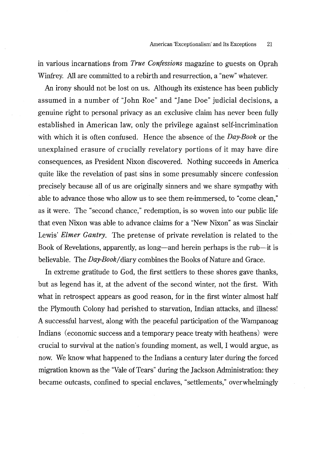in various incarnations from *True Confessions* magazine to guests on Oprah Winfrey. All are committed to a rebirth and resurrection, a "new" whatever.

An irony should not be lost on us. Although its existence has been publicly assumed in a number of "John Roe" and "Jane Doe" judicial decisions, a genuine right to personal privacy as an exclusive claim has never been fully established in American law, only the privilege against self-incrimination with which it is often confused. Hence the absence of the *Day-Book* or the unexplained erasure of crucially revelatory portions of it may have dire consequences, as President Nix on discovered. Nothing succeeds in America quite like the revelation of past sins in some presumably sincere confession precisely because all of us are originally sinners and we share sympathy with able to advance those who allow us to see them re-immersed, to "come clean," as it were. The "second chance," redemption, is so woven into our public life that even Nixon was able to advance claims for a "New Nixon" as was Sinclair Lewis' *Elmer Gantry.* The pretense of private revelation is related to the Book of Revelations, apparently, as long—and herein perhaps is the rub—it is believable. The *Day-Book* I diary combines the Books of Nature and Grace.

In extreme gratitude to God, the first settlers to these shores gave thanks, but as legend has it, at the advent of the second winter, not the first. With what in retrospect appears as good reason, for in the first winter almost half the Plymouth Colony had perished to starvation, Indian attacks, and illness! A successful harvest, along with the peaceful participation of the Wampanoag Indians (economic success and a temporary peace treaty with heathens) were crucial to survival at the nation's founding moment, as well, I would argue, as now. We know what happened to the Indians a century later during the forced migration known as the "Vale of Tears" during the Jackson Administration: they became outcasts, confined to special enclaves, "settlements," overwhelmingly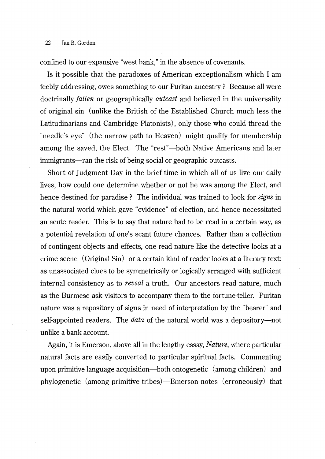## 22 Jan B. Gordon

confined to our expansive "west bank," in the absence of covenants.

Is it possible that the paradoxes of American exceptionalism which I am feebly addressing, owes something to our Puritan ancestry ? Because all were doctrinally *fallen* or geographically *outcast* and believed in the universality of original sin (unlike the British of the Established Church much less the Latitudinarians and Cambridge Platonists), only those who could thread the "needle's eye" (the narrow path to Heaven) might qualify for membership among the saved, the Elect. The "rest"—both Native Americans and later immigrants—ran the risk of being social or geographic outcasts.

Short of Judgment Day in the brief time in which all of us live our daily lives, how could one determine whether or not he was among the Elect, and hence destined for paradise ? The individual was trained to look for *signs* in the natural world which gave "evidence" of election, and hence necessitated an acute reader. This is to say that nature had to be read in a certain way, as a potential revelation of one's scant future chances. Rather than a collection of contingent objects and effects, one read nature like the detective looks at a crime scene (Original Sin) or a certain kind of reader looks at a literary text: as unassociated clues to be symmetrically or logically arranged with sufficient internal consistency as to *reveal* a truth. Our ancestors read nature, much as the Burmese ask visitors to accompany them to the fortune-teller. Puritan nature was a repository of signs in need of interpretation by the "bearer" and self-appointed readers. The *data* of the natural world was a depository-not unlike a bank account.

Again, it is Emerson, above all in the lengthy essay, *Nature,* where particular natural facts are easily converted to particular spiritual facts. Commenting upon primitive language acquisition-both ontogenetic (among children) and phylogenetic (among primitive tribes)-Emerson notes (erroneously) that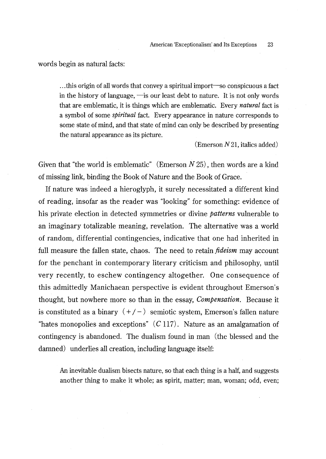words begin as natural facts:

... this origin of all words that convey a spiritual import—so conspicuous a fact in the history of language,  $\equiv$  is our least debt to nature. It is not only words that are emblematic, it is things which are emblematic. Every *natural* fact is a symbol of some *spiritual* fact. Every appearance in nature corresponds to some state of mind, and that state of mind can only be described by presenting the natural appearance as its picture.

(Emerson  $N$  21, italics added)

Given that "the world is emblematic" (Emerson *N* 25), then words are a kind of missing link, binding the Book of Nature and the Book of Grace.

If nature was indeed a hieroglyph, it surely necessitated a different kind of reading, insofar as the reader was "looking" for something: evidence of his private election in detected symmetries or divine *patterns* vulnerable to an imaginary totalizable meaning, revelation. The alternative was a world of random, differential contingencies, indicative that one had inherited in full measure the fallen state, chaos. The need to retain *jideism* may account for the penchant in contemporary literary criticism and philosophy, until very recently, to eschew contingency altogether. One consequence of this admittedly Manichaean perspective is evident throughout Emerson's thought, but nowhere more so than in the essay, *Compensation.* Because it is constituted as a binary  $(+/-)$  semiotic system, Emerson's fallen nature "hates monopolies and exceptions"  $(C 117)$ . Nature as an amalgamation of contingency is abandoned. The dualism found in man (the blessed and the damned) underlies all creation, including language itself:

An inevitable dualism bisects nature, so that each thing is a half, and suggests another thing to make it whole; as spirit, matter; man, woman; odd, even;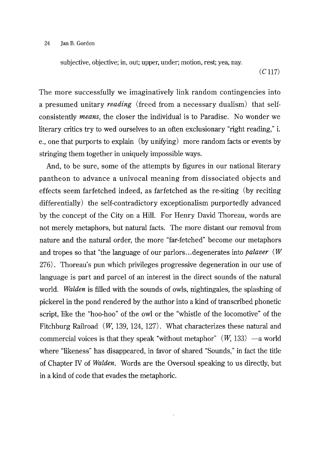subjective, objective; in, out; upper, under; motion, rest; yea, nay.

 $(C 117)$ 

The more successfully we imaginatively link random contingencies into a presumed unitary *reading* (freed from a necessary dualism) that selfconsistently *means,* the closer the individual is to Paradise. No wonder we literary critics try to wed ourselves to an often exclusionary "right reading," i. e., one that purports to explain (by unifying) more random facts or events by stringing them together in uniquely impossible ways.

And, to be sure, some of the attempts by figures in our national literary pantheon to advance a univocal meaning from dissociated objects and effects seem farfetched indeed, as farfetched as the re-siting (by reciting differentially) the self-contradictory exceptionalism purportedly advanced by the concept of the City on a Hill. For Henry David Thoreau, words are not merely metaphors, but natural facts. The more distant our removal from nature and the natural order, the more "far-fetched" become our metaphors and tropes so that "the language of our parlors ... degenerates into *palaver (W*  276). Thoreau's pun which privileges progressive degeneration in our use of language is part and parcel of an interest in the direct sounds of the natural world. *Walden* is filled with the sounds of owls, nightingales, the splashing of pickerel in the pond rendered by the author into a kind of transcribed phonetic script, like the "hoo-hoo" of the owl or the "whistle of the locomotive" of the Fitchburg Railroad (W, 139, 124, 127). What characterizes these natural and commercial voices is that they speak "without metaphor"  $(W, 133)$  -a world where "likeness" has disappeared, in favor of shared "Sounds," in fact the title of Chapter IV of *Walden.* Words are the Oversoul speaking to us directly, but in a kind of code that evades the metaphoric.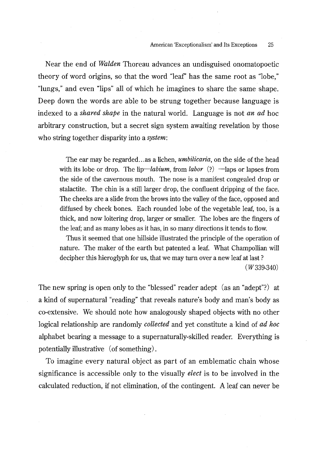Near the end of *Walden* Thoreau advances an undisguised onomatopoetic theory of word origins, so that the word "leaf' has the same root as "lobe," "lungs," and even "lips" all of which he imagines to share the same shape. Deep down the words are able to be strung together because language is indexed to a *shared shape* in the natural world. Language is not *an ad* hoc arbitrary construction, but a secret sign system awaiting revelation by those who string together disparity into a *system:* 

The ear may be regarded ... as a lichen, *umbilicaria,* on the side of the head with its lobe or drop. The  $lip—labium$ , from *labor* (?)  $-\text{lags}$  or lapses from the side of the cavernous mouth. The nose is a manifest congealed drop or stalactite. The chin is a still larger drop, the confluent dripping of the face. The cheeks are a slide from the brows into the valley of the face, opposed and diffused by cheek bones. Each rounded lobe of the vegetable leaf, too, is a thick, and now loitering drop, larger or smaller. The lobes are the fingers of the leaf; and as many lobes as it has, in so many directions it tends to flow.

Thus it seemed that one hillside illustrated the principle of the operation of nature. The maker of the earth but patented a leaf. What Champollian will decipher this hieroglyph for us, that we may turn over a new leaf at last ?

(W339-340)

The new spring is open only to the "blessed" reader adept (as an "adept"?) at a kind of supernatural "reading" that reveals nature's body and man's body as co-extensive. We should note how analogously shaped objects with no other logical relationship are randomly *collected* and yet constitute a kind of *ad hoc* alphabet bearing a message to a supernaturally-skilled reader. Everything is potentially illustrative (of something).

To imagine every natural object as part of an emblematic chain whose significance is accessible only to the visually *elect* is to be involved in the calculated reduction, if not elimination, of the contingent. A leaf can never be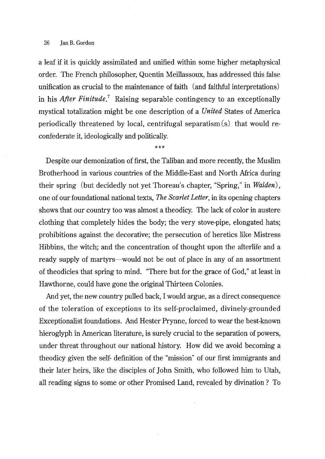#### 26 Jan B. Gordon

a leaf if it is quickly assimilated and unified within some higher metaphysical order. The French philosopher, Quentin Meillassoux, has addressed this false unification as crucial to the maintenance of faith (and faithful interpretations) in his *After Finitude*.<sup>7</sup> Raising separable contingency to an exceptionally mystical totalization might be one description of a *United* States of America periodically threatened by local, centrifugal separatism (s) that would reconfederate it, ideologically and politically.

\*\*\*

Despite our demonization of first, the Taliban and more recently, the Muslim Brotherhood in various countries of the Middle-East and North Africa during their spring (but decidedly not yet Thoreau's chapter, "Spring," in *Walden),*  one of our foundational national texts, *The Scarlet Letter,* in its opening chapters shows that our country too was almost a theodicy. The lack of color in austere clothing that completely hides the body; the very stove-pipe, elongated hats; prohibitions against the decorative; the persecution of heretics like Mistress Hibbins, the witch; and the concentration of thought upon the afterlife and a ready supply of martyrs—would not be out of place in any of an assortment of theodicies that spring to mind. "There but for the grace of God," at least in Hawthorne, could have gone the original Thirteen Colonies.

And yet, the new country pulled back, I would argue, as a direct consequence of the toleration of exceptions to its self-proclaimed, divinely-grounded Exceptionalist foundations. And Rester Prynne, forced to wear the best-known hieroglyph in American literature, is surely crucial to the separation of powers, under threat throughout our national history. How did we avoid becoming a theodicy given the self- definition of the "mission" of our first immigrants and their later heirs, like the disciples of John Smith, who followed him to Utah, all reading signs to some or other Promised Land, revealed by divination ? To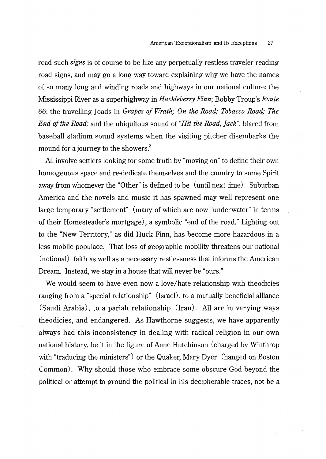read such *signs* is of course to be like any perpetually restless traveler reading road signs, and may go a long way toward explaining why we have the names of so many long and winding roads and highways in our national culture: the Mississippi River as a superhighway in *Huckleberry Finn;* Bobby Troup's *Route*  66; the travelling Joads in *Grapes of Wrath; On the Road; Tobacco Road; The End of the Road;* and the ubiquitous sound of *"Hit the Road, jack",* blared from baseball stadium sound systems when the visiting pitcher disembarks the mound for a journey to the showers.<sup>8</sup>

All involve settlers looking for some truth by "moving on" to define their own homogenous space and re-dedicate themselves and the country to some Spirit away from whomever the "Other" is defined to be (until next time). Suburban America and the novels and music it has spawned may well represent one large temporary "settlement" (many of which are now "underwater" in terms of their Homesteader's mortgage), a symbolic "end of the road." Lighting out to the "New Territory," as did Ruck Finn, has become more hazardous in a less mobile populace. That loss of geographic mobility threatens our national (notional) faith as well as a necessary restlessness that informs the American Dream. Instead, we stay in a house that will never be "ours."

We would seem to have even now a love/hate relationship with theodicies ranging from a "special relationship" (Israel), to a mutually beneficial alliance (Saudi Arabia), to a pariah relationship (Iran). All are in varying ways theodicies, and endangered. As Hawthorne suggests, we have apparently always had this inconsistency in dealing with radical religion in our own national history, be it in the figure of Anne Hutchinson (charged by Winthrop with "traducing the ministers") or the Quaker, Mary Dyer (hanged on Boston Common). Why should those who embrace some obscure God beyond the political or attempt to ground the political in his decipherable traces, not be a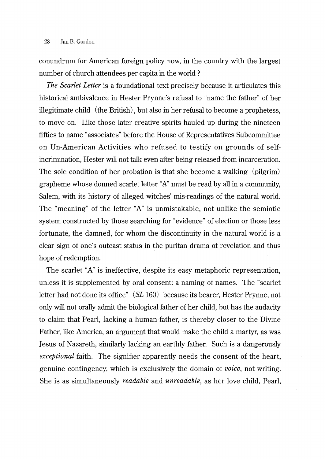## 28 Ian B. Gordon

conundrum for American foreign policy now, in the country with the largest number of church attendees per capita in the world ?

*The Scarlet Letter* is a foundational text precisely because it articulates this historical ambivalence in Rester Prynne's refusal to "name the father" of her illegitimate child (the British), but also in her refusal to become a prophetess, to move on. Like those later creative spirits hauled up during the nineteen fifties to name "associates" before the House of Representatives Subcommittee on Un-American Activities who refused to testify on grounds of selfincrimination, Hester will not talk even after being released from incarceration. The sole condition of her probation is that she become a walking (pilgrim) grapheme whose donned scarlet letter "A" must be read by all in a community, Salem, with its history of alleged witches' mis-readings of the natural world. The "meaning" of the letter "A" is unmistakable, not unlike the semiotic system constructed by those searching for "evidence" of election or those less fortunate, the damned, for whom the discontinuity in the natural world is a clear sign of one's outcast status in the puritan drama of revelation and thus hope of redemption.

The scarlet "A" is ineffective, despite its easy metaphoric representation, unless it is supplemented by oral consent: a naming of names. The "scarlet letter had not done its office" (SL 160) because its bearer, Hester Prynne, not only will not orally admit the biological father of her child, but has the audacity to claim that Pearl, lacking a human father, is thereby closer to the Divine Father, like America, an argument that would make the child a martyr, as was Jesus of Nazareth, similarly lacking an earthly father. Such is a dangerously *exceptional* faith. The signifier apparently needs the consent of the heart, genuine contingency, which is exclusively the domain of *voice,* not writing. She is as simultaneously *readable* and *unreadable,* as her love child, Pearl,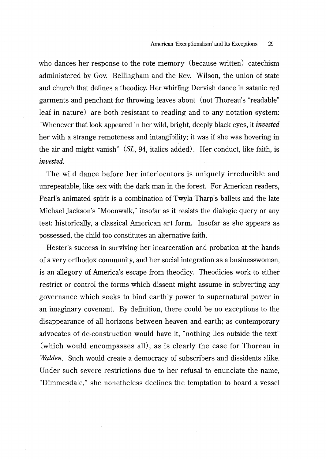who dances her response to the rote memory (because written) catechism administered by Gov. Bellingham and the Rev. Wilson, the union of state and church that defines a theodicy. Her whirling Dervish dance in satanic red garments and penchant for throwing leaves about (not Thoreau's "readable" leaf in nature) are both resistant to reading and to any notation system: "Whenever that look appeared in her wild, bright, deeply black eyes, it *invested*  her with a strange remoteness and intangibility; it was if she was hovering in the air and might vanish" *(SL,* 94, italics added). Her conduct, like faith, is *invested.* 

The wild dance before her interlocutors is uniquely irreducible and unrepeatable, like sex with the dark man in the forest. For American readers, Pearl's animated spirit is a combination of Twyla Tharp's ballets and the late Michael Jackson's "Moonwalk," insofar as it resists the dialogic query or any test: historically, a classical American art form. Insofar as she appears as possessed, the child too constitutes an alternative faith.

Rester's success in surviving her incarceration and probation at the hands of a very orthodox community, and her social integration as a businesswoman, is an allegory of America's escape from theodicy. Theodicies work to either restrict or control the forms which dissent might assume in subverting any governance which seeks to bind earthly power to supernatural power in an imaginary covenant. By definition, there could be no exceptions to the disappearance of all horizons between heaven and earth; as contemporary advocates of de-construction would have it, "nothing lies outside the text" (which would encompasses all), as is clearly the case for Thoreau in *Walden.* Such would create a democracy of subscribers and dissidents alike. Under such severe restrictions due to her refusal to enunciate the name, "Dimmesdale," she nonetheless declines the temptation to board a vessel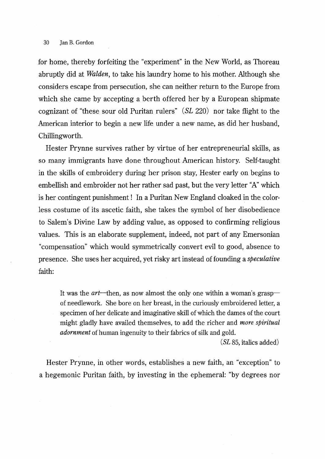for home, thereby forfeiting the "experiment" in the New World, as Thoreau abruptly did at *Walden,* to take his laundry home to his mother. Although she considers escape from persecution, she can neither return to the Europe from which she came by accepting a berth offered her by a European shipmate cognizant of "these sour old Puritan rulers" *(SL* 220) nor take flight to the American interior to begin a new life under a new name, as did her husband, Chillingworth.

Rester Prynne survives rather by virtue of her entrepreneurial skills, as so many immigrants have done throughout American history. Self-taught in the skills of embroidery during her prison stay, Rester early on begins to embellish and embroider not her rather sad past, but the very letter "A" which is her contingent punishment ! In a Puritan New England cloaked in the calorless costume of its ascetic faith, she takes the symbol of her disobedience to Salem's Divine Law by adding value, as opposed to confirming religious values. This is an elaborate supplement, indeed, not part of any Emersonian "compensation" which would symmetrically convert evil to good, absence to presence. She uses her acquired, yet risky art instead of founding a *speculative*  faith:

It was the *art*—then, as now almost the only one within a woman's grasp of needlework. She bore on her breast, in the curiously embroidered letter, a specimen of her delicate and imaginative skill of which the dames of the court might gladly have availed themselves, to add the richer and *more spiritual adornment* of human ingenuity to their fabrics of silk and gold.

*(SL* 85, italics added)

Hester Prynne, in other words, establishes a new faith, an "exception" to a hegemonic Puritan faith, by investing in the ephemeral: "by degrees nor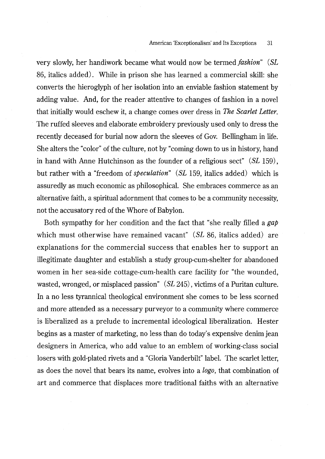very slowly, her handiwork became what would now be termed *fashion" (SL*  86, italics added). While in prison she has learned a commercial skill: she converts the hieroglyph of her isolation into an enviable fashion statement by adding value. And, for the reader attentive to changes of fashion in a novel that initially would eschew it, a change comes over dress in *The Scarlet Letter.*  The ruffed sleeves and elaborate embroidery previously used only to dress the recently deceased for burial now adorn the sleeves of Gov. Bellingham in life. She alters the "color" of the culture, not by "coming down to us in history, hand in hand with Anne Hutchinson as the founder of a religious sect" *(SL* 159), but rather with a "freedom of *speculation" (SL* 159, italics added) which is assuredly as much economic as philosophical. She embraces commerce as an alternative faith, a spiritual adornment that comes to be a community necessity, not the accusatory red of the Whore of Babylon.

Both sympathy for her condition and the fact that "she really filled a *gap*  which must otherwise have remained vacant" *(SL* 86, italics added) are explanations for the commercial success that enables her to support an illegitimate daughter and establish a study group-cum-shelter for abandoned women in her sea-side cottage-cum-health care facility for "the wounded, wasted, wronged, or misplaced passion" *(SL* 245), victims of a Puritan culture. In a no less tyrannical theological environment she comes to be less scorned and more attended as a necessary purveyor to a community where commerce is liberalized as a prelude to incremental ideological liberalization. Hester begins as a master of marketing, no less than do today's expensive denim jean designers in America, who add value to an emblem of working-class social losers with gold-plated rivets and a "Gloria Vanderbilt" label. The scarlet letter, as does the novel that bears its name, evolves into a *logo,* that combination of art and commerce that displaces more traditional faiths with an alternative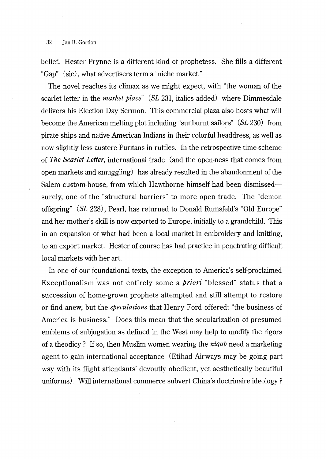belief. Hester Prynne is a different kind of prophetess. She fills a different "Gap" (sic), what advertisers term a "niche market."

The novel reaches its climax as we might expect, with "the woman of the scarlet letter in the *market place" (SL* 231, italics added) where Dimmesdale delivers his Election Day Sermon. This commercial plaza also hosts what will become the American melting plot including "sunburnt sailors" *(SL* 230) from pirate ships and native American Indians in their colorful headdress, as well as now slightly less austere Puritans in ruffles. In the retrospective time-scheme of *The Scarlet Letter,* international trade (and the open-ness that comes from open markets and smuggling) has already resulted in the abandonment of the Salem custom-house, from which Hawthorne himself had been dismissedsurely, one of the "structural barriers" to more open trade. The "demon offspring" *(SL* 228), Pearl, has returned to Donald Rumsfeld's "Old Europe" and her mother's skill is now exported to Europe, initially to a grandchild. This in an expansion of what had been a local market in embroidery and knitting, to an export market. Hester of course has had practice in penetrating difficult local markets with her art.

In one of our foundational texts, the exception to America's self-proclaimed Exceptionalism was not entirely some a *priori* "blessed" status that a succession of home-grown prophets attempted and still attempt to restore or find anew, but the *speculations* that Henry Ford offered: "the business of America is business." Does this mean that the secularization of presumed emblems of subjugation as defined in the West may help to modify the rigors of a theodicy ? If so, then Muslim women wearing the *niqab* need a marketing agent to gain international acceptance (Etihad Airways may be going part way with its flight attendants' devoutly obedient, yet aesthetically beautiful uniforms). Will international commerce subvert China's doctrinaire ideology?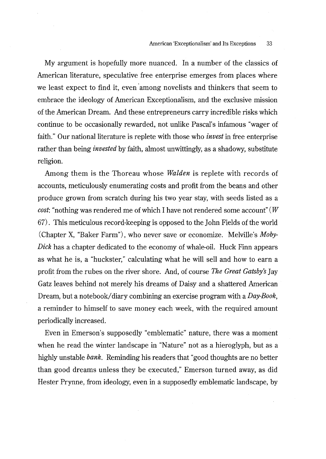My argument is hopefully more nuanced. In a number of the classics of American literature, speculative free enterprise emerges from places where we least expect to find it, even among novelists and thinkers that seem to embrace the ideology of American Exceptionalism, and the exclusive mission of the American Dream. And these entrepreneurs carry incredible risks which continue to be occasionally rewarded, not unlike Pascal's infamous "wager of faith." Our national literature is replete with those who *invest* in free enterprise rather than being *invested* by faith, almost unwittingly, as a shadowy, substitute religion.

Among them is the Thoreau whose *Walden* is replete with records of accounts, meticulously enumerating costs and profit from the beans and other produce grown from scratch during his two year stay, with seeds listed as a *cost:* "nothing was rendered me of which I have not rendered some account" ( *W*  67) . This meticulous record-keeping is opposed to the John Fields of the world (Chapter X, "Baker Farm"), who never save or economize. Melville's *Moby-Dick* has a chapter dedicated to the economy of whale-oil. Huck Finn appears as what he is, a "huckster," calculating what he will sell and how to earn a profit from the rubes on the river shore. And, of course *The Great Gatsby's* Jay Gatz leaves behind not merely his dreams of Daisy and a shattered American Dream, but a notebook/ diary combining an exercise program with a *Day-Book,*  a reminder to himself to save money each week, with the required amount periodically increased.

Even in Emerson's supposedly "emblematic" nature, there was a moment when he read the winter landscape in "Nature" not as a hieroglyph, but as a highly unstable *bank.* Reminding his readers that "good thoughts are no better than good dreams unless they be executed," Emerson turned away, as did Hester Prynne, from ideology, even in a supposedly emblematic landscape, by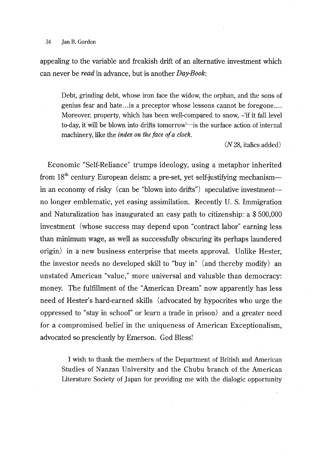#### 34 **Jan B. Gordon**

appealing to the variable and freakish drift of an alternative investment which can never be *read* in advance, but is another *Day-Book:* 

Debt, grinding debt, whose iron face the widow, the orphan, and the sons of genius fear and hate .. .is a preceptor whose lessons cannot be foregone .... Moreover, property, which has been well-compared to snow, -'if it fall level to-day, it will be blown into drifts tomorrow<sup>----</sup> is the surface action of internal machinery, like the *index on the face of a clock.* 

 $(N 28$ , italics added)

Economic "Self-Reliance" trumps ideology, using a metaphor inherited from  $18<sup>th</sup>$  century European deism: a pre-set, yet self-justifying mechanism-in an economy of risky (can be "blown into drifts") speculative investmentno longer emblematic, yet easing assimilation. Recently U. S. Immigration and Naturalization has inaugurated an easy path to citizenship: a \$500,000 investment (whose success may depend upon "contract labor" earning less than minimum wage, as well as successfully obscuring its perhaps laundered origin) in a new business enterprise that meets approval. Unlike Hester, the investor needs no developed skill to "buy in" (and thereby modify) an unstated American "value," more universal and valuable than democracy: money. The fulfillment of the "American Dream" now apparently has less need of Hester's hard-earned skills (advocated by hypocrites who urge the oppressed to "stay in school" or learn a trade in prison) and a greater need for a compromised belief in the uniqueness of American Exceptionalism, advocated so presciently by Emerson. God Bless!

I wish to thank the members of the Department of British and American Studies of Nanzan University and the Chubu branch of the American Literature Society of Japan for providing me with the dialogic opportunity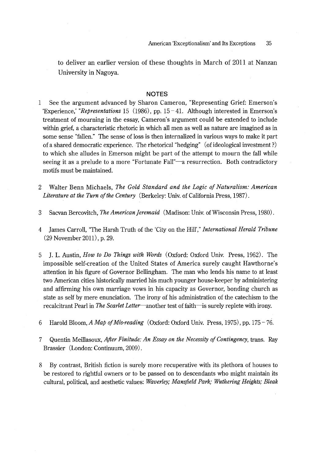to deliver an earlier version of these thoughts in March of 2011 at Nanzan University in Nagoya.

#### **NOTES**

- $\mathbf{1}$ See the argument advanced by Sharon Cameron, "Representing Grief: Emerson's 'Experience,' *"Representations* 15 (1986), pp. 15-41. Although interested in Emerson's treatment of mourning in the essay, Cameron's argument could be extended to include within grief, a characteristic rhetoric in which all men as well as nature are imagined as in some sense "fallen." The sense of loss is then internalized in various ways to make it part of a shared democratic experience. The rhetorical "hedging" (of ideological investment?) to which she alludes in Emerson might be part of the attempt to mourn the fall while seeing it as a prelude to a more "Fortunate Fall"—a resurrection. Both contradictory motifs must be maintained.
- 2 Waiter Benn Michaels, *The Gold Standard and the Logic of Naturalism: American Literature at the Turn of the Century* (Berkeley: Univ. of California Press, 1987).
- 3 Sacvan Bercovitch, *TheAmerican]eremaid* (Madison: Univ. of Wisconsin Press, 1980).
- 4 James Carroll, 'The Harsh Truth of the 'City on the Hill'," *International Herald Tribune*  (29 November 2011), p. 29.
- 5 J. L. Austin, *How to Do Things with Words* (Oxford: Oxford Univ. Press, 1962). The impossible self-creation of the United States of America surely caught Hawthorne's attention in his figure of Governor Bellingham. The man who lends his name to at least two American cities historically married his much younger house-keeper by administering and affirming his own marriage vows in his capacity as Governor, bonding church as state as self by mere enunciation. The irony of his administration of the catechism to the recalcitrant Pearl in *The Scarlet Letter-another* test of faith-is surely replete with irony.
- 6 Harold Bloom, *A Map of Mis-reading* (Oxford: Oxford Univ. Press, 1975), pp. 175-76.
- 7 Quentin Meillasoux, *After Finitude: An Essay on the Necessity of Contingency,* trans. Ray Brassier (London: Continuum, 2009).
- 8 By contrast, British fiction is surely more recuperative with its plethora of houses to be restored to rightful owners or to be passed on to descendants who might maintain its cultural, political, and aesthetic values: *Waverley; Mansfield Park,· Wuthering Heights; Bleak*